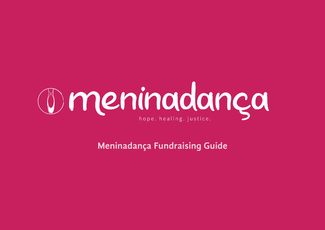

**Meninadança Fundraising Guide**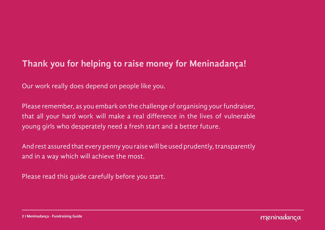## **Thank you for helping to raise money for Meninadança!**

Our work really does depend on people like you.

Please remember, as you embark on the challenge of organising your fundraiser, that all your hard work will make a real difference in the lives of vulnerable young girls who desperately need a fresh start and a better future.

And rest assured that every penny you raise will be used prudently, transparently and in a way which will achieve the most.

Please read this guide carefully before you start.



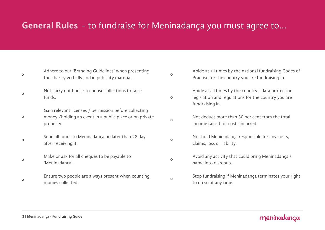## **General Rules** - to fundraise for Meninadança you must agree to...

| $\circ$ | Adhere to our 'Branding Guidelines' when presenting<br>the charity verbally and in publicity materials.                       | $\circ$ | Abide at all times by the national fundraising Codes of<br>Practise for the country you are fundraising in.                   |
|---------|-------------------------------------------------------------------------------------------------------------------------------|---------|-------------------------------------------------------------------------------------------------------------------------------|
| $\circ$ | Not carry out house-to-house collections to raise<br>funds.                                                                   | $\circ$ | Abide at all times by the country's data protection<br>legislation and regulations for the country you are<br>fundraising in. |
| $\circ$ | Gain relevant licenses / permission before collecting<br>money /holding an event in a public place or on private<br>property. | $\circ$ | Not deduct more than 30 per cent from the total<br>income raised for costs incurred.                                          |
| $\circ$ | Send all funds to Meninadança no later than 28 days<br>after receiving it.                                                    | $\circ$ | Not hold Meninadança responsible for any costs,<br>claims, loss or liability.                                                 |
| $\circ$ | Make or ask for all cheques to be payable to<br>'Meninadança'.                                                                | $\circ$ | Avoid any activity that could bring Meninadança's<br>name into disrepute.                                                     |
| $\circ$ | Ensure two people are always present when counting<br>monies collected.                                                       | $\circ$ | Stop fundraising if Meninadança terminates your right<br>to do so at any time.                                                |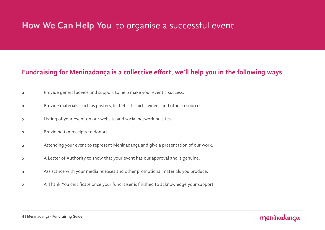## **How We Can Help You** to organise a successful event

### **Fundraising for Meninadança is a collective effort, we'll help you in the following ways**

- Provide general advice and support to help make your event a success.  $\circ$
- Provide materials such as posters, leaflets, T-shirts, videos and other resources.  $\circ$
- Listing of your event on our website and social networking sites.  $\circ$
- Providing tax receipts to donors.  $\circ$
- Attending your event to represent Meninadança and give a presentation of our work.  $\circ$
- A Letter of Authority to show that your event has our approval and is genuine.  $\circ$
- Assistance with your media releases and other promotional materials you produce.  $\circ$
- A Thank You certificate once your fundraiser is finished to acknowledge your support.  $\circ$

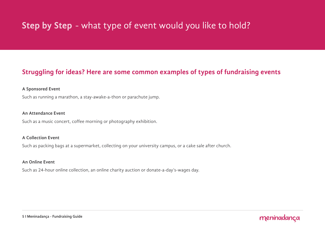# **Step by Step** - what type of event would you like to hold?

### **Struggling for ideas? Here are some common examples of types of fundraising events**

#### **A Sponsored Event**

Such as running a marathon, a stay-awake-a-thon or parachute jump.

### **An Attendance Event**

Such as a music concert, coffee morning or photography exhibition.

### **A Collection Event**

Such as packing bags at a supermarket, collecting on your university campus, or a cake sale after church.

### **An Online Event**

Such as 24-hour online collection, an online charity auction or donate-a-day's-wages day.

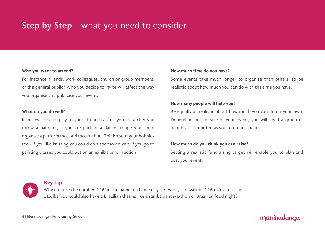# **Step by Step** - what you need to consider

#### **Who you want to attend?**

For instance, friends, work colleagues, church or group members, or the general public? Who you decide to invite will affect the way you organise and publicise your event.

#### **What do you do well?**

It makes sense to play to your strengths, so if you are a chef you throw a banquet, if you are part of a dance troupe you could organise a performance or dance-a-thon. Think about your hobbies too - if you like knitting you could do a sponsored knit, if you go to painting classes you could put on an exhibition or auction.

#### **How much time do you have?**

Some events take much longer to organise than others, so be realistic about how much you can do with the time you have.

### **How many people will help you?**

Be equally as realistic about how much you can do on your own. Depending on the size of your event, you will need a group of people as committed as you to organising it.

### **How much do you think you can raise?**

Setting a realistic fundraising target will enable you to plan and cost your event.



### **Key Tip**

Why not use the number '116' in the name or theme of your event, like walking 116 miles or losing 11.6lbs?You could also have a Brazilian theme, like a samba dance-a-thon or Brazilian food night?

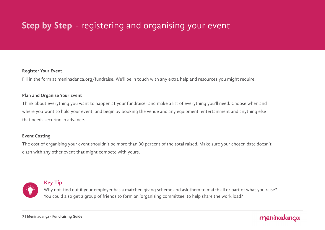# **Step by Step** - registering and organising your event

#### **Register Your Event**

Fill in the form at [meninadanca.org/fundraise](http://meninadanca.org/fundraise). We'll be in touch with any extra help and resources you might require.

### **Plan and Organise Your Event**

Think about everything you want to happen at your fundraiser and make a list of everything you'll need. Choose when and where you want to hold your event, and begin by booking the venue and any equipment, entertainment and anything else that needs securing in advance.

### **Event Costing**

The cost of organising your event shouldn't be more than 30 percent of the total raised. Make sure your chosen date doesn't clash with any other event that might compete with yours.



### **Key Tip**

Why not find out if your employer has a matched giving scheme and ask them to match all or part of what you raise? You could also get a group of friends to form an 'organising committee' to help share the work load?

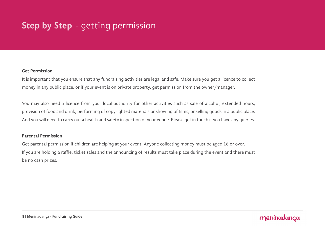# **Step by Step** - getting permission

### **Get Permission**

It is important that you ensure that any fundraising activities are legal and safe. Make sure you get a licence to collect money in any public place, or if your event is on private property, get permission from the owner/manager.

You may also need a licence from your local authority for other activities such as sale of alcohol, extended hours, provision of food and drink, performing of copyrighted materials or showing of films, or selling goods in a public place. And you will need to carry out a health and safety inspection of your venue. Please get in touch if you have any queries.

### **Parental Permission**

Get parental permission if children are helping at your event. Anyone collecting money must be aged 16 or over. If you are holding a raffle, ticket sales and the announcing of results must take place during the event and there must be no cash prizes.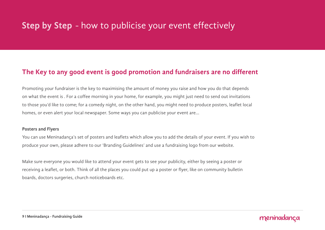## **Step by Step** - how to publicise your event effectively

### **The Key to any good event is good promotion and fundraisers are no different**

Promoting your fundraiser is the key to maximising the amount of money you raise and how you do that depends on what the event is . For a coffee morning in your home, for example, you might just need to send out invitations to those you'd like to come; for a comedy night, on the other hand, you might need to produce posters, leaflet local homes, or even alert your local newspaper. Some ways you can publicise your event are...

#### **Posters and Flyers**

You can use Meninadança's set of posters and leaflets which allow you to add the details of your event. If you wish to produce your own, please adhere to our 'Branding Guidelines' and use a fundraising logo from our website.

meninadanca

Make sure everyone you would like to attend your event gets to see your publicity, either by seeing a poster or receiving a leaflet, or both. Think of all the places you could put up a poster or flyer, like on community bulletin boards, doctors surgeries, church noticeboards etc.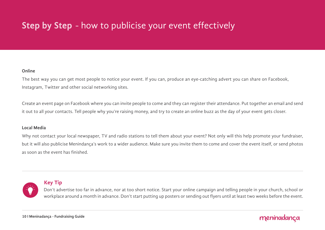# **Step by Step** - how to publicise your event effectively

### **Online**

The best way you can get most people to notice your event. If you can, produce an eye-catching advert you can share on Facebook, Instagram, Twitter and other social networking sites.

Create an event page on Facebook where you can invite people to come and they can register their attendance. Put together an email and send it out to all your contacts. Tell people why you're raising money, and try to create an online buzz as the day of your event gets closer.

#### **Local Media**

Why not contact your local newspaper, TV and radio stations to tell them about your event? Not only will this help promote your fundraiser, but it will also publicise Menindança's work to a wider audience. Make sure you invite them to come and cover the event itself, or send photos as soon as the event has finished.



### **Key Tip**

Don't advertise too far in advance, nor at too short notice. Start your online campaign and telling people in your church, school or workplace around a month in advance. Don't start putting up posters or sending out flyers until at least two weeks before the event.

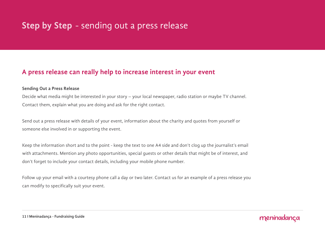## **Step by Step** - sending out a press release

### **A press release can really help to increase interest in your event**

### **Sending Out a Press Release**

Decide what media might be interested in your story – your local newspaper, radio station or maybe TV channel. Contact them, explain what you are doing and ask for the right contact.

Send out a press release with details of your event, information about the charity and quotes from yourself or someone else involved in or supporting the event.

Keep the information short and to the point - keep the text to one A4 side and don't clog up the journalist's email with attachments. Mention any photo opportunities, special guests or other details that might be of interest, and don't forget to include your contact details, including your mobile phone number.

Follow up your email with a courtesy phone call a day or two later. Contact us for an example of a press release you can modify to specifically suit your event.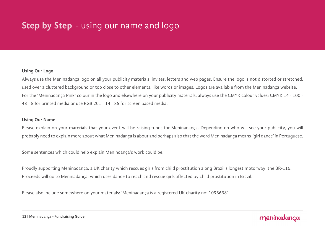## **Step by Step** - using our name and logo

### **Using Our Logo**

Always use the Meninadança logo on all your publicity materials, invites, letters and web pages. Ensure the logo is not distorted or stretched, used over a cluttered background or too close to other elements, like words or images. Logos are available from the Meninadança website. For the 'Meninadança Pink' colour in the logo and elsewhere on your publicity materials, always use the CMYK colour values: CMYK 14 - 100 - 43 - 5 for printed media or use RGB 201 - 14 - 85 for screen based media.

#### **Using Our Name**

Please explain on your materials that your event will be raising funds for Meninadança. Depending on who will see your publicity, you will probably need to explain more about what Meninadança is about and perhaps also that the word Meninadança means 'girl dance' in Portuguese.

Some sentences which could help explain Menindança's work could be:

Proudly supporting Meninadança, a UK charity which rescues girls from child prostitution along Brazil's longest motorway, the BR-116. Proceeds will go to Meninadança, which uses dance to reach and rescue girls affected by child prostitution in Brazil.

Please also include somewhere on your materials: 'Meninadança is a registered UK charity no: 1095638".

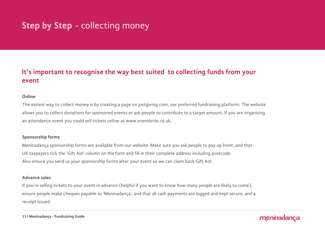# **Step by Step** - collecting money

### **It's important to recognise the way best suited to collecting funds from your event**

### **Online**

The easiest way to collect money is by creating a page on justgiving.com, our preferred fundraising platform. The website allows you to collect donations for sponsored events or ask people to contribute to a target amount. If you are organising an attendance event you could sell tickets online at www.eventbrite.co.uk.

### **Sponsorship forms**

Meninadança sponsorship forms are available from our website. Make sure you ask people to pay up front, and that UK taxpayers tick the 'Gift Aid' column on the form and fill in their complete address including postcode. Also ensure you send us your sponsorship forms after your event so we can claim back Gift Aid.

#### **Advance sales**

If you're selling tickets to your event in advance (helpful if you want to know how many people are likely to come), ensure people make cheques payable to 'Meninadança', and that all cash payments are logged and kept secure, and a receipt issued.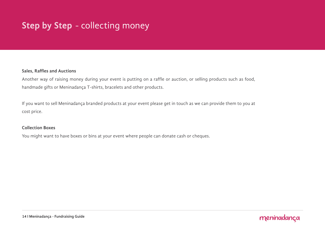# **Step by Step** - collecting money

### **Sales, Raffles and Auctions**

Another way of raising money during your event is putting on a raffle or auction, or selling products such as food, handmade gifts or Meninadança T-shirts, bracelets and other products.

If you want to sell Meninadança branded products at your event please get in touch as we can provide them to you at cost price.

### **Collection Boxes**

You might want to have boxes or bins at your event where people can donate cash or cheques.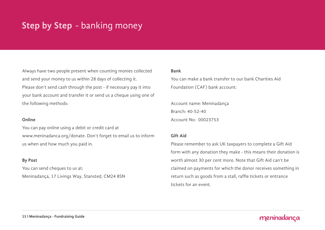## **Step by Step** - banking money

Always have two people present when counting monies collected and send your money to us within 28 days of collecting it. Please don't send cash through the post - if necessary pay it into your bank account and transfer it or send us a cheque using one of the following methods:

### **Online**

You can pay online using a debit or credit card at www.meninadanca.org/donate. Don't forget to email us to inform us when and how much you paid in.

### **By Post**

You can send cheques to us at: Meninadança, 17 Livings Way, Stansted, CM24 8SN

#### **Bank**

You can make a bank transfer to our bank Charities Aid Foundation (CAF) bank account:

Account name: Meninadança Branch: 40-52-40 Account No: 00023753

### **Gift Aid**

Please remember to ask UK taxpayers to complete a Gift Aid form with any donation they make - this means their donation is worth almost 30 per cent more. Note that Gift Aid can't be claimed on payments for which the donor receives something in return such as goods from a stall, raffle tickets or entrance tickets for an event.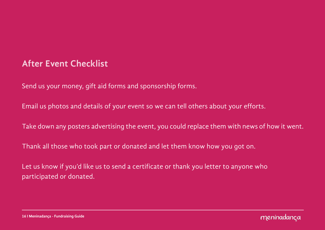## **After Event Checklist**

Send us your money, gift aid forms and sponsorship forms.

Email us photos and details of your event so we can tell others about your efforts.

Take down any posters advertising the event, you could replace them with news of how it went.

Thank all those who took part or donated and let them know how you got on.

Let us know if you'd like us to send a certificate or thank you letter to anyone who participated or donated.



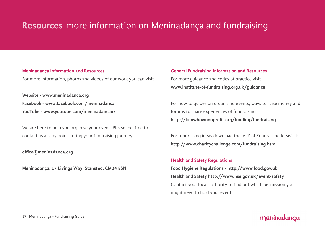# **Resources** more information on Meninadança and fundraising

### **Meninadança Information and Resources**

For more information, photos and videos of our work you can visit

**Website - [www.meninadanca.org](http://meninadanca.org%20) [Facebook - www.facebook.com/meninadanca](http://facebook.com/meninadanca) [YouTube - www.youtube.com/meninadancauk](http://youtube.com/meninadancauk%20)**

We are here to help you organise your event! Please feel free to contact us at any point during your fundraising journey:

**office@meninadanca.org**

**Meninadança, 17 Livings Way, Stansted, CM24 8SN**

**General Fundraising Information and Resources** For more guidance and codes of practice visit **[www.institute-of-fundraising.org.uk/guidance](http://www.institute-of-fundraising.org.uk/guidance)** 

For how to guides on organising events, ways to raise money and forums to share experiences of fundraising **http://knowhownonprofit.org/funding/fundraising**

For fundraising ideas download the 'A-Z of Fundraising Ideas' at: **http://www.charitychallenge.com/fundraising.html**

### **Health and Safety Regulations**

**Food Hygiene Regulations - http://www.food.gov.uk Health and Safety http://www.hse.gov.uk/event-safety** Contact your local authority to find out which permission you might need to hold your event.